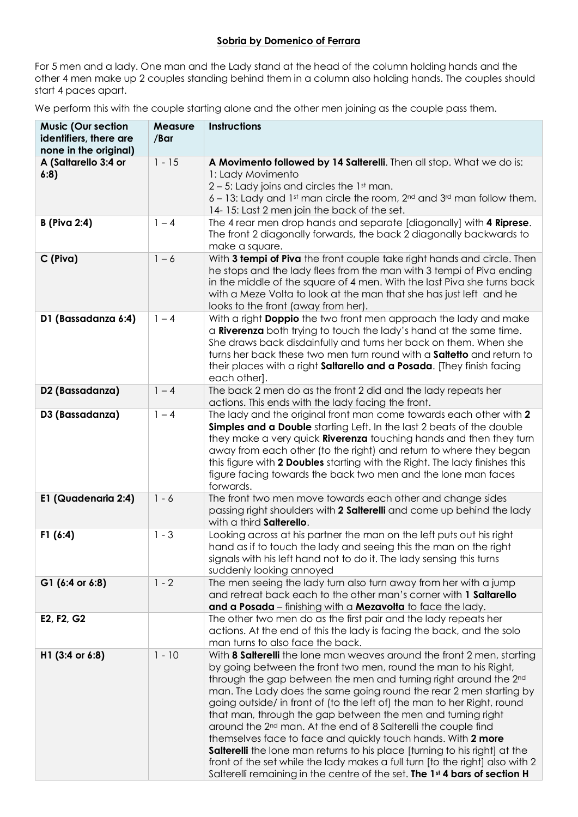## **Sobria by Domenico of Ferrara**

For 5 men and a lady. One man and the Lady stand at the head of the column holding hands and the other 4 men make up 2 couples standing behind them in a column also holding hands. The couples should start 4 paces apart.

We perform this with the couple starting alone and the other men joining as the couple pass them.

| <b>Music (Our section</b><br>identifiers, there are<br>none in the original) | <b>Measure</b><br>/Bar | Instructions                                                                                                                                                                                                                                                                                                                                                                                                                                                                                                                                                                                                                                                                                                                                                                                                                               |
|------------------------------------------------------------------------------|------------------------|--------------------------------------------------------------------------------------------------------------------------------------------------------------------------------------------------------------------------------------------------------------------------------------------------------------------------------------------------------------------------------------------------------------------------------------------------------------------------------------------------------------------------------------------------------------------------------------------------------------------------------------------------------------------------------------------------------------------------------------------------------------------------------------------------------------------------------------------|
| A (Saltarello 3:4 or<br>6:8)                                                 | $1 - 15$               | A Movimento followed by 14 Salterelli. Then all stop. What we do is:<br>1: Lady Movimento<br>$2 - 5$ : Lady joins and circles the 1st man.<br>6 - 13: Lady and 1st man circle the room, 2nd and 3rd man follow them.<br>14-15: Last 2 men join the back of the set.                                                                                                                                                                                                                                                                                                                                                                                                                                                                                                                                                                        |
| <b>B</b> (Piva 2:4)                                                          | $1 - 4$                | The 4 rear men drop hands and separate [diagonally] with 4 Riprese.<br>The front 2 diagonally forwards, the back 2 diagonally backwards to<br>make a square.                                                                                                                                                                                                                                                                                                                                                                                                                                                                                                                                                                                                                                                                               |
| C (Piva)                                                                     | $1 - 6$                | With 3 tempi of Piva the front couple take right hands and circle. Then<br>he stops and the lady flees from the man with 3 tempi of Piva ending<br>in the middle of the square of 4 men. With the last Piva she turns back<br>with a Meze Volta to look at the man that she has just left and he<br>looks to the front (away from her).                                                                                                                                                                                                                                                                                                                                                                                                                                                                                                    |
| D1 (Bassadanza 6:4)                                                          | $1 - 4$                | With a right Doppio the two front men approach the lady and make<br>a Riverenza both trying to touch the lady's hand at the same time.<br>She draws back disdainfully and turns her back on them. When she<br>turns her back these two men turn round with a Saltetto and return to<br>their places with a right Saltarello and a Posada. [They finish facing<br>each other].                                                                                                                                                                                                                                                                                                                                                                                                                                                              |
| D2 (Bassadanza)                                                              | $1 - 4$                | The back 2 men do as the front 2 did and the lady repeats her<br>actions. This ends with the lady facing the front.                                                                                                                                                                                                                                                                                                                                                                                                                                                                                                                                                                                                                                                                                                                        |
| D3 (Bassadanza)                                                              | $1 - 4$                | The lady and the original front man come towards each other with 2<br><b>Simples and a Double</b> starting Left. In the last 2 beats of the double<br>they make a very quick <b>Riverenza</b> touching hands and then they turn<br>away from each other (to the right) and return to where they began<br>this figure with 2 Doubles starting with the Right. The lady finishes this<br>figure facing towards the back two men and the lone man faces<br>forwards.                                                                                                                                                                                                                                                                                                                                                                          |
| E1 (Quadenaria 2:4)                                                          | $1 - 6$                | The front two men move towards each other and change sides<br>passing right shoulders with 2 Salterelli and come up behind the lady<br>with a third Salterello.                                                                                                                                                                                                                                                                                                                                                                                                                                                                                                                                                                                                                                                                            |
| F1(6:4)                                                                      | $1 - 3$                | Looking across at his partner the man on the left puts out his right<br>hand as if to touch the lady and seeing this the man on the right<br>signals with his left hand not to do it. The lady sensing this turns<br>suddenly looking annoyed                                                                                                                                                                                                                                                                                                                                                                                                                                                                                                                                                                                              |
| G1 (6:4 or 6:8)                                                              | $1 - 2$                | The men seeing the lady turn also turn away from her with a jump<br>and retreat back each to the other man's corner with 1 Saltarello<br>and a Posada - finishing with a Mezavolta to face the lady.                                                                                                                                                                                                                                                                                                                                                                                                                                                                                                                                                                                                                                       |
| E2, F2, G2                                                                   |                        | The other two men do as the first pair and the lady repeats her<br>actions. At the end of this the lady is facing the back, and the solo<br>man turns to also face the back.                                                                                                                                                                                                                                                                                                                                                                                                                                                                                                                                                                                                                                                               |
| H1 (3:4 or 6:8)                                                              | $1 - 10$               | With 8 Salterelli the lone man weaves around the front 2 men, starting<br>by going between the front two men, round the man to his Right,<br>through the gap between the men and turning right around the 2 <sup>nd</sup><br>man. The Lady does the same going round the rear 2 men starting by<br>going outside/ in front of (to the left of) the man to her Right, round<br>that man, through the gap between the men and turning right<br>around the 2 <sup>nd</sup> man. At the end of 8 Salterelli the couple find<br>themselves face to face and quickly touch hands. With 2 more<br><b>Salterelli</b> the lone man returns to his place [turning to his right] at the<br>front of the set while the lady makes a full turn [to the right] also with 2<br>Salterelli remaining in the centre of the set. The 1st 4 bars of section H |